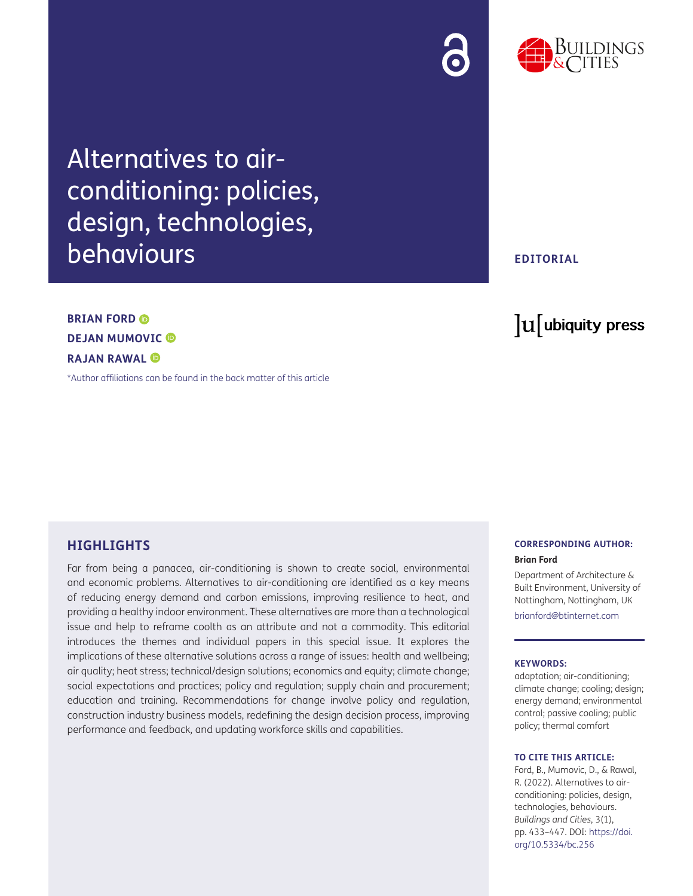



Alternatives to airconditioning: policies, design, technologies, behaviours

# **EDITORIAL**

lu ubiquity press

# **DEJANMUMOVIC**<sup>**<sup><b>D</sup>**</sup></sup> **RAJAN RAWAL**

**BRIAN FORD ©** 

[\\*Author affiliations can be found in the back matter of this article](#page-12-0)

# **HIGHLIGHTS**

Far from being a panacea, air-conditioning is shown to create social, environmental and economic problems. Alternatives to air-conditioning are identified as a key means of reducing energy demand and carbon emissions, improving resilience to heat, and providing a healthy indoor environment. These alternatives are more than a technological issue and help to reframe coolth as an attribute and not a commodity. This editorial introduces the themes and individual papers in this special issue. It explores the implications of these alternative solutions across a range of issues: health and wellbeing; air quality; heat stress; technical/design solutions; economics and equity; climate change; social expectations and practices; policy and regulation; supply chain and procurement; education and training. Recommendations for change involve policy and regulation, construction industry business models, redefining the design decision process, improving performance and feedback, and updating workforce skills and capabilities.

#### **CORRESPONDING AUTHOR: Brian Ford**

Department of Architecture & Built Environment, University of Nottingham, Nottingham, UK

[brianford@btinternet.com](mailto:brianford@btinternet.com)

#### **KEYWORDS:**

adaptation; air-conditioning; climate change; cooling; design; energy demand; environmental control; passive cooling; public policy; thermal comfort

#### **TO CITE THIS ARTICLE:**

Ford, B., Mumovic, D., & Rawal, R. (2022). Alternatives to airconditioning: policies, design, technologies, behaviours. *Buildings and Cities*, 3(1), pp. 433–447. DOI: [https://doi.](https://doi.org/10.5334/bc.256) [org/10.5334/bc.256](https://doi.org/10.5334/bc.256)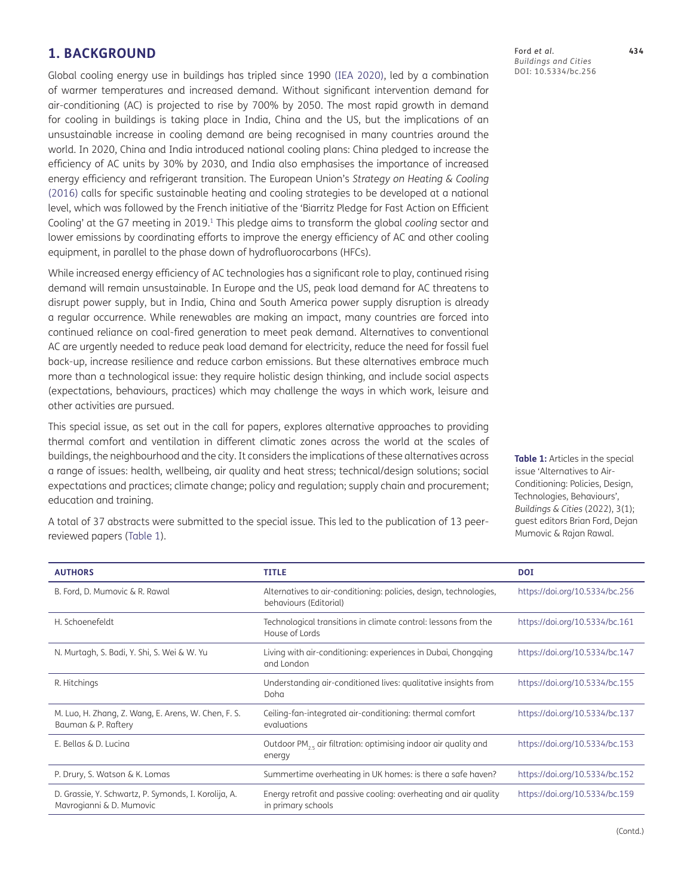# **1. BACKGROUND**

Global cooling energy use in buildings has tripled since 1990 ([IEA 2020](#page-13-0)), led by a combination of warmer temperatures and increased demand. Without significant intervention demand for air-conditioning (AC) is projected to rise by 700% by 2050. The most rapid growth in demand for cooling in buildings is taking place in India, China and the US, but the implications of an unsustainable increase in cooling demand are being recognised in many countries around the world. In 2020, China and India introduced national cooling plans: China pledged to increase the efficiency of AC units by 30% by 2030, and India also emphasises the importance of increased energy efficiency and refrigerant transition. The European Union's *Strategy on Heating & Cooling* [\(2016](#page-13-1)) calls for specific sustainable heating and cooling strategies to be developed at a national level, which was followed by the French initiative of the 'Biarritz Pledge for Fast Action on Efficient Cooling' at the G7 meeting in 2019.[1](#page-12-1) This pledge aims to transform the global *cooling* sector and lower emissions by coordinating efforts to improve the energy efficiency of AC and other cooling equipment, in parallel to the phase down of hydrofluorocarbons (HFCs).

While increased energy efficiency of AC technologies has a significant role to play, continued rising demand will remain unsustainable. In Europe and the US, peak load demand for AC threatens to disrupt power supply, but in India, China and South America power supply disruption is already a regular occurrence. While renewables are making an impact, many countries are forced into continued reliance on coal-fired generation to meet peak demand. Alternatives to conventional AC are urgently needed to reduce peak load demand for electricity, reduce the need for fossil fuel back-up, increase resilience and reduce carbon emissions. But these alternatives embrace much more than a technological issue: they require holistic design thinking, and include social aspects (expectations, behaviours, practices) which may challenge the ways in which work, leisure and other activities are pursued.

This special issue, as set out in the call for papers, explores alternative approaches to providing thermal comfort and ventilation in different climatic zones across the world at the scales of buildings, the neighbourhood and the city. It considers the implications of these alternatives across a range of issues: health, wellbeing, air quality and heat stress; technical/design solutions; social expectations and practices; climate change; policy and regulation; supply chain and procurement; education and training.

A total of 37 abstracts were submitted to the special issue. This led to the publication of 13 peerreviewed papers [\(Table 1\)](#page-1-0).

**AUTHORS TITLE DOI** B. Ford, D. Mumovic & R. Rawal **Alternatives to air-conditioning: policies**, design, technologies, behaviours (Editorial) <https://doi.org/10.5334/bc.256> H. Schoenefeldt Technological transitions in climate control: lessons from the House of Lords <https://doi.org/10.5334/bc.161> N. Murtagh, S. Badi, Y. Shi, S. Wei & W. Yu Living with air-conditioning: experiences in Dubai, Chongqing and London <https://doi.org/10.5334/bc.147> R. Hitchings Understanding air-conditioned lives: qualitative insights from Doha <https://doi.org/10.5334/bc.155> M. Luo, H. Zhang, Z. Wang, E. Arens, W. Chen, F. S. Bauman & P. Raftery Ceiling-fan-integrated air-conditioning: thermal comfort evaluations <https://doi.org/10.5334/bc.137> E. Bellas & D. Lucina  $\bigcirc$  Outdoor PM<sub>2.5</sub> air filtration: optimising indoor air quality and energy <https://doi.org/10.5334/bc.153> P. Drury, S. Watson & K. Lomas Summertime overheating in UK homes: is there a safe haven? <https://doi.org/10.5334/bc.152> D. Grassie, Y. Schwartz, P. Symonds, I. Korolija, A. Mavrogianni & D. Mumovic Energy retrofit and passive cooling: overheating and air quality in primary schools <https://doi.org/10.5334/bc.159>

<span id="page-1-0"></span>**Table 1:** Articles in the special issue 'Alternatives to Air-Conditioning: Policies, Design, Technologies, Behaviours', *Buildings & Cities* (2022), 3(1); guest editors Brian Ford, Dejan Mumovic & Rajan Rawal.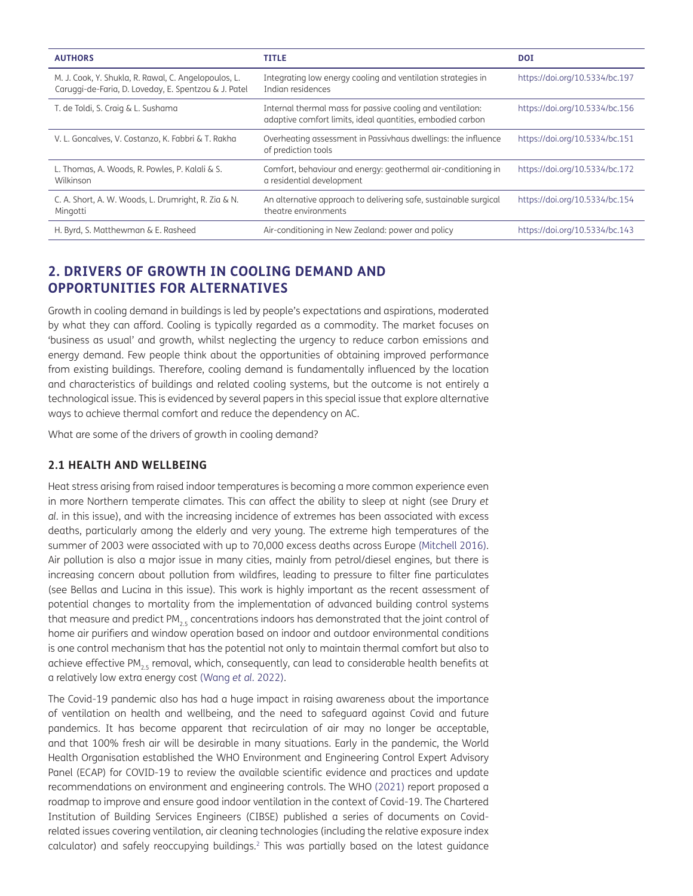| <b>AUTHORS</b>                                                                                               | <b>TITLE</b>                                                                                                             | <b>DOI</b>                     |
|--------------------------------------------------------------------------------------------------------------|--------------------------------------------------------------------------------------------------------------------------|--------------------------------|
| M. J. Cook, Y. Shukla, R. Rawal, C. Angelopoulos, L.<br>Caruggi-de-Faria, D. Loveday, E. Spentzou & J. Patel | Integrating low energy cooling and ventilation strategies in<br>Indian residences                                        | https://doi.org/10.5334/bc.197 |
| T. de Toldi, S. Craig & L. Sushama                                                                           | Internal thermal mass for passive cooling and ventilation:<br>adaptive comfort limits, ideal quantities, embodied carbon | https://doi.org/10.5334/bc.156 |
| V. L. Goncalves, V. Costanzo, K. Fabbri & T. Rakha                                                           | Overheating assessment in Passivhaus dwellings: the influence<br>of prediction tools                                     | https://doi.org/10.5334/bc.151 |
| L. Thomas, A. Woods, R. Powles, P. Kalali & S.<br>Wilkinson                                                  | Comfort, behaviour and energy: geothermal air-conditioning in<br>a residential development                               | https://doi.org/10.5334/bc.172 |
| C. A. Short, A. W. Woods, L. Drumright, R. Zia & N.<br>Mingotti                                              | An alternative approach to delivering safe, sustainable surgical<br>theatre environments                                 | https://doi.org/10.5334/bc.154 |
| H. Byrd, S. Matthewman & E. Rasheed                                                                          | Air-conditioning in New Zealand: power and policy                                                                        | https://doi.org/10.5334/bc.143 |

# **2. DRIVERS OF GROWTH IN COOLING DEMAND AND OPPORTUNITIES FOR ALTERNATIVES**

Growth in cooling demand in buildings is led by people's expectations and aspirations, moderated by what they can afford. Cooling is typically regarded as a commodity. The market focuses on 'business as usual' and growth, whilst neglecting the urgency to reduce carbon emissions and energy demand. Few people think about the opportunities of obtaining improved performance from existing buildings. Therefore, cooling demand is fundamentally influenced by the location and characteristics of buildings and related cooling systems, but the outcome is not entirely a technological issue. This is evidenced by several papers in this special issue that explore alternative ways to achieve thermal comfort and reduce the dependency on AC.

What are some of the drivers of growth in cooling demand?

# **2.1 HEALTH AND WELLBEING**

Heat stress arising from raised indoor temperatures is becoming a more common experience even in more Northern temperate climates. This can affect the ability to sleep at night (see Drury *et al.* in this issue), and with the increasing incidence of extremes has been associated with excess deaths, particularly among the elderly and very young. The extreme high temperatures of the summer of 2003 were associated with up to 70,000 excess deaths across Europe ([Mitchell 2016\)](#page-13-2). Air pollution is also a major issue in many cities, mainly from petrol/diesel engines, but there is increasing concern about pollution from wildfires, leading to pressure to filter fine particulates (see Bellas and Lucina in this issue). This work is highly important as the recent assessment of potential changes to mortality from the implementation of advanced building control systems that measure and predict PM<sub>2.5</sub> concentrations indoors has demonstrated that the joint control of home air purifiers and window operation based on indoor and outdoor environmental conditions is one control mechanism that has the potential not only to maintain thermal comfort but also to achieve effective PM<sub>25</sub> removal, which, consequently, can lead to considerable health benefits at a relatively low extra energy cost ([Wang](#page-13-3) *et al.* 2022).

The Covid-19 pandemic also has had a huge impact in raising awareness about the importance of ventilation on health and wellbeing, and the need to safeguard against Covid and future pandemics. It has become apparent that recirculation of air may no longer be acceptable, and that 100% fresh air will be desirable in many situations. Early in the pandemic, the World Health Organisation established the WHO Environment and Engineering Control Expert Advisory Panel (ECAP) for COVID-19 to review the available scientific evidence and practices and update recommendations on environment and engineering controls. The WHO [\(2021\)](#page-13-4) report proposed a roadmap to improve and ensure good indoor ventilation in the context of Covid-19. The Chartered Institution of Building Services Engineers (CIBSE) published a series of documents on Covidrelated issues covering ventilation, air cleaning technologies (including the relative exposure index calculator) and safely reoccupying buildings.<sup>2</sup> This was partially based on the latest quidance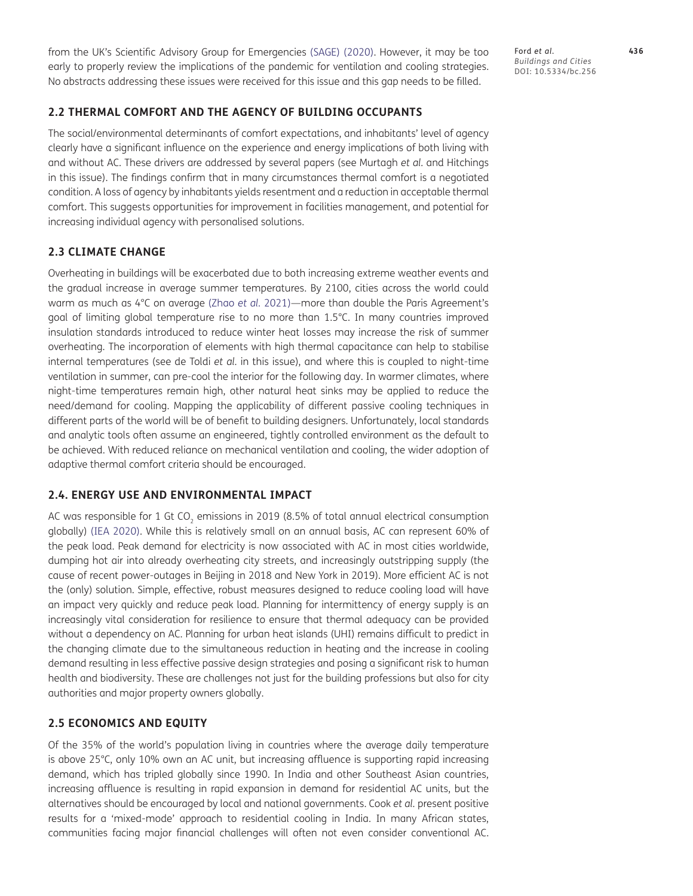from the UK's Scientific Advisory Group for Emergencies ([SAGE\) \(2020](#page-13-5)). However, it may be too early to properly review the implications of the pandemic for ventilation and cooling strategies. No abstracts addressing these issues were received for this issue and this gap needs to be filled.

# **2.2 THERMAL COMFORT AND THE AGENCY OF BUILDING OCCUPANTS**

The social/environmental determinants of comfort expectations, and inhabitants' level of agency clearly have a significant influence on the experience and energy implications of both living with and without AC. These drivers are addressed by several papers (see Murtagh *et al.* and Hitchings in this issue). The findings confirm that in many circumstances thermal comfort is a negotiated condition. A loss of agency by inhabitants yields resentment and a reduction in acceptable thermal comfort. This suggests opportunities for improvement in facilities management, and potential for increasing individual agency with personalised solutions.

# **2.3 CLIMATE CHANGE**

Overheating in buildings will be exacerbated due to both increasing extreme weather events and the gradual increase in average summer temperatures. By 2100, cities across the world could warm as much as 4°C on average (Zhao *et al.* [2021](#page-13-6))—more than double the Paris Agreement's goal of limiting global temperature rise to no more than 1.5°C. In many countries improved insulation standards introduced to reduce winter heat losses may increase the risk of summer overheating. The incorporation of elements with high thermal capacitance can help to stabilise internal temperatures (see de Toldi *et al.* in this issue), and where this is coupled to night-time ventilation in summer, can pre-cool the interior for the following day. In warmer climates, where night-time temperatures remain high, other natural heat sinks may be applied to reduce the need/demand for cooling. Mapping the applicability of different passive cooling techniques in different parts of the world will be of benefit to building designers. Unfortunately, local standards and analytic tools often assume an engineered, tightly controlled environment as the default to be achieved. With reduced reliance on mechanical ventilation and cooling, the wider adoption of adaptive thermal comfort criteria should be encouraged.

# **2.4. ENERGY USE AND ENVIRONMENTAL IMPACT**

AC was responsible for 1 Gt CO<sub>2</sub> emissions in 2019 (8.5% of total annual electrical consumption globally) [\(IEA 2020\)](#page-13-0). While this is relatively small on an annual basis, AC can represent 60% of the peak load. Peak demand for electricity is now associated with AC in most cities worldwide, dumping hot air into already overheating city streets, and increasingly outstripping supply (the cause of recent power-outages in Beijing in 2018 and New York in 2019). More efficient AC is not the (only) solution. Simple, effective, robust measures designed to reduce cooling load will have an impact very quickly and reduce peak load. Planning for intermittency of energy supply is an increasingly vital consideration for resilience to ensure that thermal adequacy can be provided without a dependency on AC. Planning for urban heat islands (UHI) remains difficult to predict in the changing climate due to the simultaneous reduction in heating and the increase in cooling demand resulting in less effective passive design strategies and posing a significant risk to human health and biodiversity. These are challenges not just for the building professions but also for city authorities and major property owners globally.

#### **2.5 ECONOMICS AND EQUITY**

Of the 35% of the world's population living in countries where the average daily temperature is above 25°C, only 10% own an AC unit, but increasing affluence is supporting rapid increasing demand, which has tripled globally since 1990. In India and other Southeast Asian countries, increasing affluence is resulting in rapid expansion in demand for residential AC units, but the alternatives should be encouraged by local and national governments. Cook *et al.* present positive results for a 'mixed-mode' approach to residential cooling in India. In many African states, communities facing major financial challenges will often not even consider conventional AC.

Ford *et al*. **436** *Buildings and Cities* DOI: 10.5334/bc.256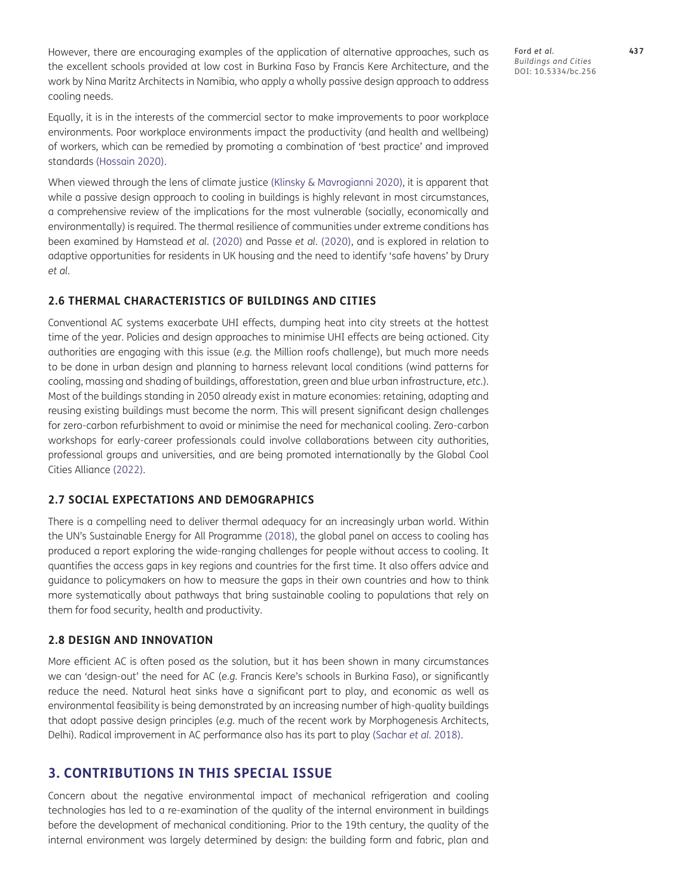However, there are encouraging examples of the application of alternative approaches, such as the excellent schools provided at low cost in Burkina Faso by Francis Kere Architecture, and the work by Nina Maritz Architects in Namibia, who apply a wholly passive design approach to address cooling needs.

Equally, it is in the interests of the commercial sector to make improvements to poor workplace environments. Poor workplace environments impact the productivity (and health and wellbeing) of workers, which can be remedied by promoting a combination of 'best practice' and improved standards ([Hossain 2020](#page-13-7)).

When viewed through the lens of climate justice [\(Klinsky & Mavrogianni 2020\)](#page-13-8), it is apparent that while a passive design approach to cooling in buildings is highly relevant in most circumstances, a comprehensive review of the implications for the most vulnerable (socially, economically and environmentally) is required. The thermal resilience of communities under extreme conditions has been examined by Hamstead *et al.* ([2020](#page-13-9)) and Passe *et al.* ([2020](#page-13-10)), and is explored in relation to adaptive opportunities for residents in UK housing and the need to identify 'safe havens' by Drury *et al.*

## **2.6 THERMAL CHARACTERISTICS OF BUILDINGS AND CITIES**

Conventional AC systems exacerbate UHI effects, dumping heat into city streets at the hottest time of the year. Policies and design approaches to minimise UHI effects are being actioned. City authorities are engaging with this issue (*e.g.* the Million roofs challenge), but much more needs to be done in urban design and planning to harness relevant local conditions (wind patterns for cooling, massing and shading of buildings, afforestation, green and blue urban infrastructure, *etc.*). Most of the buildings standing in 2050 already exist in mature economies: retaining, adapting and reusing existing buildings must become the norm. This will present significant design challenges for zero-carbon refurbishment to avoid or minimise the need for mechanical cooling. Zero-carbon workshops for early-career professionals could involve collaborations between city authorities, professional groups and universities, and are being promoted internationally by the Global Cool Cities Alliance ([2022](#page-13-11)).

# **2.7 SOCIAL EXPECTATIONS AND DEMOGRAPHICS**

There is a compelling need to deliver thermal adequacy for an increasingly urban world. Within the UN's Sustainable Energy for All Programme [\(2018\)](#page-13-12), the global panel on access to cooling has produced a report exploring the wide-ranging challenges for people without access to cooling. It quantifies the access gaps in key regions and countries for the first time. It also offers advice and guidance to policymakers on how to measure the gaps in their own countries and how to think more systematically about pathways that bring sustainable cooling to populations that rely on them for food security, health and productivity.

#### **2.8 DESIGN AND INNOVATION**

More efficient AC is often posed as the solution, but it has been shown in many circumstances we can 'design-out' the need for AC (*e.g.* Francis Kere's schools in Burkina Faso), or significantly reduce the need. Natural heat sinks have a significant part to play, and economic as well as environmental feasibility is being demonstrated by an increasing number of high-quality buildings that adopt passive design principles (*e.g.* much of the recent work by Morphogenesis Architects, Delhi). Radical improvement in AC performance also has its part to play [\(Sachar](#page-13-13) *et al.* 2018).

# **3. CONTRIBUTIONS IN THIS SPECIAL ISSUE**

Concern about the negative environmental impact of mechanical refrigeration and cooling technologies has led to a re-examination of the quality of the internal environment in buildings before the development of mechanical conditioning. Prior to the 19th century, the quality of the internal environment was largely determined by design: the building form and fabric, plan and Ford *et al*. **437** *Buildings and Cities* DOI: 10.5334/bc.256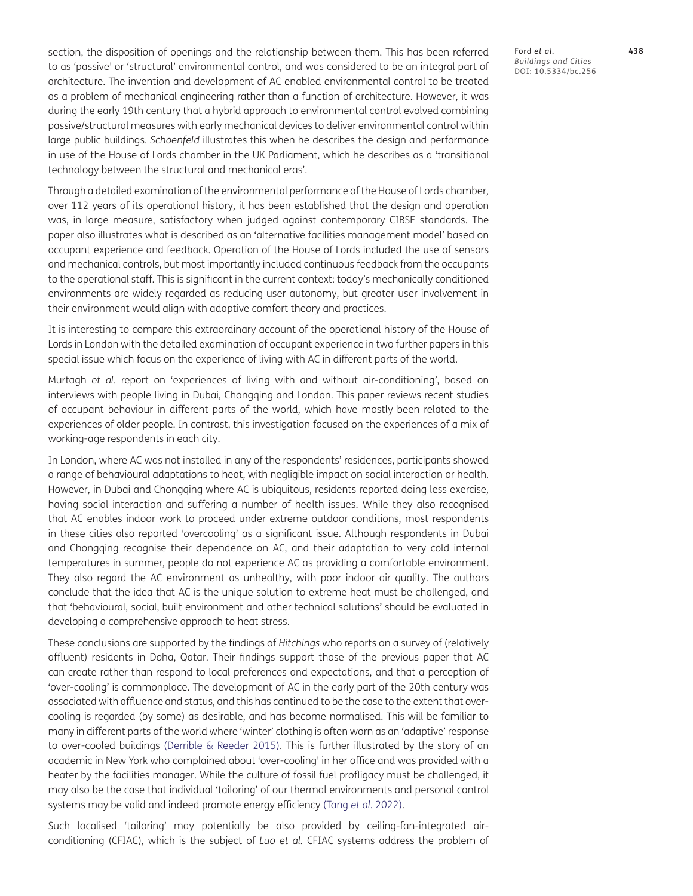section, the disposition of openings and the relationship between them. This has been referred to as 'passive' or 'structural' environmental control, and was considered to be an integral part of architecture. The invention and development of AC enabled environmental control to be treated as a problem of mechanical engineering rather than a function of architecture. However, it was during the early 19th century that a hybrid approach to environmental control evolved combining passive/structural measures with early mechanical devices to deliver environmental control within large public buildings. *Schoenfeld* illustrates this when he describes the design and performance in use of the House of Lords chamber in the UK Parliament, which he describes as a 'transitional technology between the structural and mechanical eras'.

Through a detailed examination of the environmental performance of the House of Lords chamber, over 112 years of its operational history, it has been established that the design and operation was, in large measure, satisfactory when judged against contemporary CIBSE standards. The paper also illustrates what is described as an 'alternative facilities management model' based on occupant experience and feedback. Operation of the House of Lords included the use of sensors and mechanical controls, but most importantly included continuous feedback from the occupants to the operational staff. This is significant in the current context: today's mechanically conditioned environments are widely regarded as reducing user autonomy, but greater user involvement in their environment would align with adaptive comfort theory and practices.

It is interesting to compare this extraordinary account of the operational history of the House of Lords in London with the detailed examination of occupant experience in two further papers in this special issue which focus on the experience of living with AC in different parts of the world.

Murtagh *et al.* report on 'experiences of living with and without air-conditioning', based on interviews with people living in Dubai, Chongqing and London. This paper reviews recent studies of occupant behaviour in different parts of the world, which have mostly been related to the experiences of older people. In contrast, this investigation focused on the experiences of a mix of working-age respondents in each city.

In London, where AC was not installed in any of the respondents' residences, participants showed a range of behavioural adaptations to heat, with negligible impact on social interaction or health. However, in Dubai and Chongqing where AC is ubiquitous, residents reported doing less exercise, having social interaction and suffering a number of health issues. While they also recognised that AC enables indoor work to proceed under extreme outdoor conditions, most respondents in these cities also reported 'overcooling' as a significant issue. Although respondents in Dubai and Chongqing recognise their dependence on AC, and their adaptation to very cold internal temperatures in summer, people do not experience AC as providing a comfortable environment. They also regard the AC environment as unhealthy, with poor indoor air quality. The authors conclude that the idea that AC is the unique solution to extreme heat must be challenged, and that 'behavioural, social, built environment and other technical solutions' should be evaluated in developing a comprehensive approach to heat stress.

These conclusions are supported by the findings of *Hitchings* who reports on a survey of (relatively affluent) residents in Doha, Qatar. Their findings support those of the previous paper that AC can create rather than respond to local preferences and expectations, and that a perception of 'over-cooling' is commonplace. The development of AC in the early part of the 20th century was associated with affluence and status, and this has continued to be the case to the extent that overcooling is regarded (by some) as desirable, and has become normalised. This will be familiar to many in different parts of the world where 'winter' clothing is often worn as an 'adaptive' response to over-cooled buildings ([Derrible & Reeder 2015](#page-13-14)). This is further illustrated by the story of an academic in New York who complained about 'over-cooling' in her office and was provided with a heater by the facilities manager. While the culture of fossil fuel profligacy must be challenged, it may also be the case that individual 'tailoring' of our thermal environments and personal control systems may be valid and indeed promote energy efficiency (Tang *et al.* [2022](#page-13-15)).

Such localised 'tailoring' may potentially be also provided by ceiling-fan-integrated airconditioning (CFIAC), which is the subject of *Luo et al.* CFIAC systems address the problem of Ford *et al*. **438** *Buildings and Cities* DOI: 10.5334/bc.256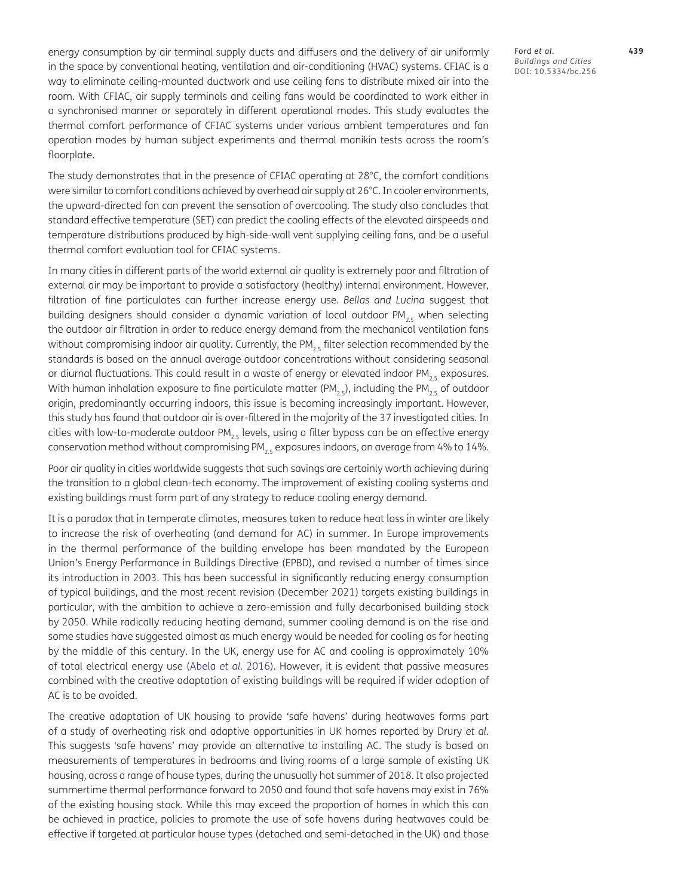energy consumption by air terminal supply ducts and diffusers and the delivery of air uniformly in the space by conventional heating, ventilation and air-conditioning (HVAC) systems. CFIAC is a way to eliminate ceiling-mounted ductwork and use ceiling fans to distribute mixed air into the room. With CFIAC, air supply terminals and ceiling fans would be coordinated to work either in a synchronised manner or separately in different operational modes. This study evaluates the thermal comfort performance of CFIAC systems under various ambient temperatures and fan operation modes by human subject experiments and thermal manikin tests across the room's floorplate.

The study demonstrates that in the presence of CFIAC operating at 28°C, the comfort conditions were similar to comfort conditions achieved by overhead air supply at 26°C. In cooler environments, the upward-directed fan can prevent the sensation of overcooling. The study also concludes that standard effective temperature (SET) can predict the cooling effects of the elevated airspeeds and temperature distributions produced by high-side-wall vent supplying ceiling fans, and be a useful thermal comfort evaluation tool for CFIAC systems.

In many cities in different parts of the world external air quality is extremely poor and filtration of external air may be important to provide a satisfactory (healthy) internal environment. However, filtration of fine particulates can further increase energy use. *Bellas and Lucina* suggest that building designers should consider a dynamic variation of local outdoor  $PM_{2.5}$  when selecting the outdoor air filtration in order to reduce energy demand from the mechanical ventilation fans without compromising indoor air quality. Currently, the PM<sub>25</sub> filter selection recommended by the standards is based on the annual average outdoor concentrations without considering seasonal or diurnal fluctuations. This could result in a waste of energy or elevated indoor PM<sub>25</sub> exposures. With human inhalation exposure to fine particulate matter (PM<sub>25</sub>), including the PM<sub>25</sub> of outdoor origin, predominantly occurring indoors, this issue is becoming increasingly important. However, this study has found that outdoor air is over-filtered in the majority of the 37 investigated cities. In cities with low-to-moderate outdoor  $PM_{2.5}$  levels, using a filter bypass can be an effective energy conservation method without compromising  $PM_{2.5}$  exposures indoors, on average from 4% to 14%.

Poor air quality in cities worldwide suggests that such savings are certainly worth achieving during the transition to a global clean-tech economy. The improvement of existing cooling systems and existing buildings must form part of any strategy to reduce cooling energy demand.

It is a paradox that in temperate climates, measures taken to reduce heat loss in winter are likely to increase the risk of overheating (and demand for AC) in summer. In Europe improvements in the thermal performance of the building envelope has been mandated by the European Union's Energy Performance in Buildings Directive (EPBD), and revised a number of times since its introduction in 2003. This has been successful in significantly reducing energy consumption of typical buildings, and the most recent revision (December 2021) targets existing buildings in particular, with the ambition to achieve a zero-emission and fully decarbonised building stock by 2050. While radically reducing heating demand, summer cooling demand is on the rise and some studies have suggested almost as much energy would be needed for cooling as for heating by the middle of this century. In the UK, energy use for AC and cooling is approximately 10% of total electrical energy use ([Abela](#page-12-3) *et al.* 2016). However, it is evident that passive measures combined with the creative adaptation of existing buildings will be required if wider adoption of AC is to be avoided.

The creative adaptation of UK housing to provide 'safe havens' during heatwaves forms part of a study of overheating risk and adaptive opportunities in UK homes reported by Drury *et al*. This suggests 'safe havens' may provide an alternative to installing AC. The study is based on measurements of temperatures in bedrooms and living rooms of a large sample of existing UK housing, across a range of house types, during the unusually hot summer of 2018. It also projected summertime thermal performance forward to 2050 and found that safe havens may exist in 76% of the existing housing stock. While this may exceed the proportion of homes in which this can be achieved in practice, policies to promote the use of safe havens during heatwaves could be effective if targeted at particular house types (detached and semi-detached in the UK) and those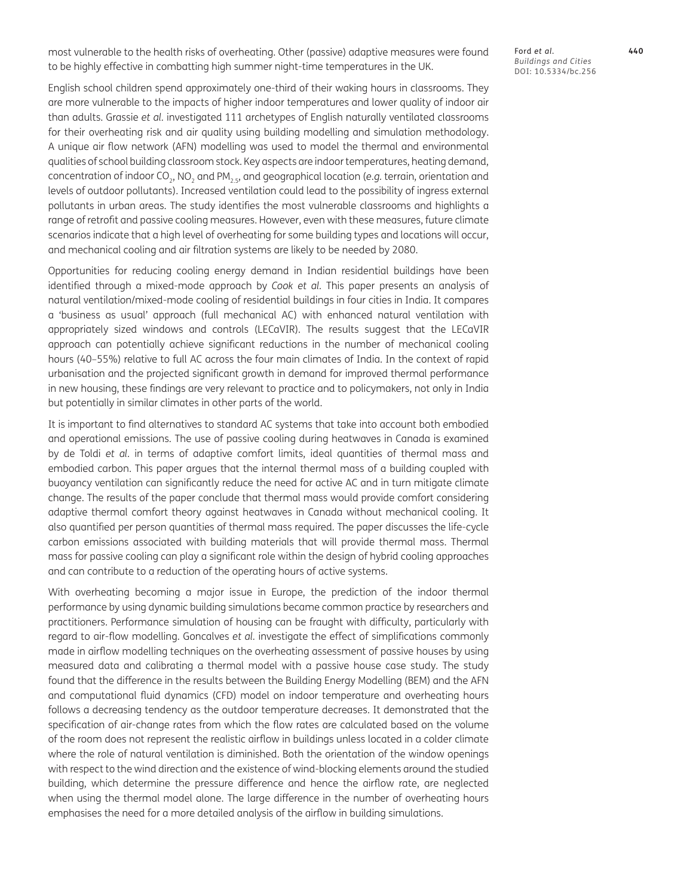most vulnerable to the health risks of overheating. Other (passive) adaptive measures were found to be highly effective in combatting high summer night-time temperatures in the UK.

Ford *et al*. **440** *Buildings and Cities* DOI: 10.5334/bc.256

English school children spend approximately one-third of their waking hours in classrooms. They are more vulnerable to the impacts of higher indoor temperatures and lower quality of indoor air than adults. Grassie *et al.* investigated 111 archetypes of English naturally ventilated classrooms for their overheating risk and air quality using building modelling and simulation methodology. A unique air flow network (AFN) modelling was used to model the thermal and environmental qualities of school building classroom stock. Key aspects are indoor temperatures, heating demand, concentration of indoor CO<sub>2</sub>, NO<sub>2</sub> and PM<sub>25</sub>, and geographical location (*e.g.* terrain, orientation and levels of outdoor pollutants). Increased ventilation could lead to the possibility of ingress external pollutants in urban areas. The study identifies the most vulnerable classrooms and highlights a range of retrofit and passive cooling measures. However, even with these measures, future climate scenarios indicate that a high level of overheating for some building types and locations will occur, and mechanical cooling and air filtration systems are likely to be needed by 2080.

Opportunities for reducing cooling energy demand in Indian residential buildings have been identified through a mixed-mode approach by *Cook et al.* This paper presents an analysis of natural ventilation/mixed-mode cooling of residential buildings in four cities in India. It compares a 'business as usual' approach (full mechanical AC) with enhanced natural ventilation with appropriately sized windows and controls (LECaVIR). The results suggest that the LECaVIR approach can potentially achieve significant reductions in the number of mechanical cooling hours (40–55%) relative to full AC across the four main climates of India. In the context of rapid urbanisation and the projected significant growth in demand for improved thermal performance in new housing, these findings are very relevant to practice and to policymakers, not only in India but potentially in similar climates in other parts of the world.

It is important to find alternatives to standard AC systems that take into account both embodied and operational emissions. The use of passive cooling during heatwaves in Canada is examined by de Toldi *et al.* in terms of adaptive comfort limits, ideal quantities of thermal mass and embodied carbon. This paper argues that the internal thermal mass of a building coupled with buoyancy ventilation can significantly reduce the need for active AC and in turn mitigate climate change. The results of the paper conclude that thermal mass would provide comfort considering adaptive thermal comfort theory against heatwaves in Canada without mechanical cooling. It also quantified per person quantities of thermal mass required. The paper discusses the life-cycle carbon emissions associated with building materials that will provide thermal mass. Thermal mass for passive cooling can play a significant role within the design of hybrid cooling approaches and can contribute to a reduction of the operating hours of active systems.

With overheating becoming a major issue in Europe, the prediction of the indoor thermal performance by using dynamic building simulations became common practice by researchers and practitioners. Performance simulation of housing can be fraught with difficulty, particularly with regard to air-flow modelling. Goncalves *et al.* investigate the effect of simplifications commonly made in airflow modelling techniques on the overheating assessment of passive houses by using measured data and calibrating a thermal model with a passive house case study. The study found that the difference in the results between the Building Energy Modelling (BEM) and the AFN and computational fluid dynamics (CFD) model on indoor temperature and overheating hours follows a decreasing tendency as the outdoor temperature decreases. It demonstrated that the specification of air-change rates from which the flow rates are calculated based on the volume of the room does not represent the realistic airflow in buildings unless located in a colder climate where the role of natural ventilation is diminished. Both the orientation of the window openings with respect to the wind direction and the existence of wind-blocking elements around the studied building, which determine the pressure difference and hence the airflow rate, are neglected when using the thermal model alone. The large difference in the number of overheating hours emphasises the need for a more detailed analysis of the airflow in building simulations.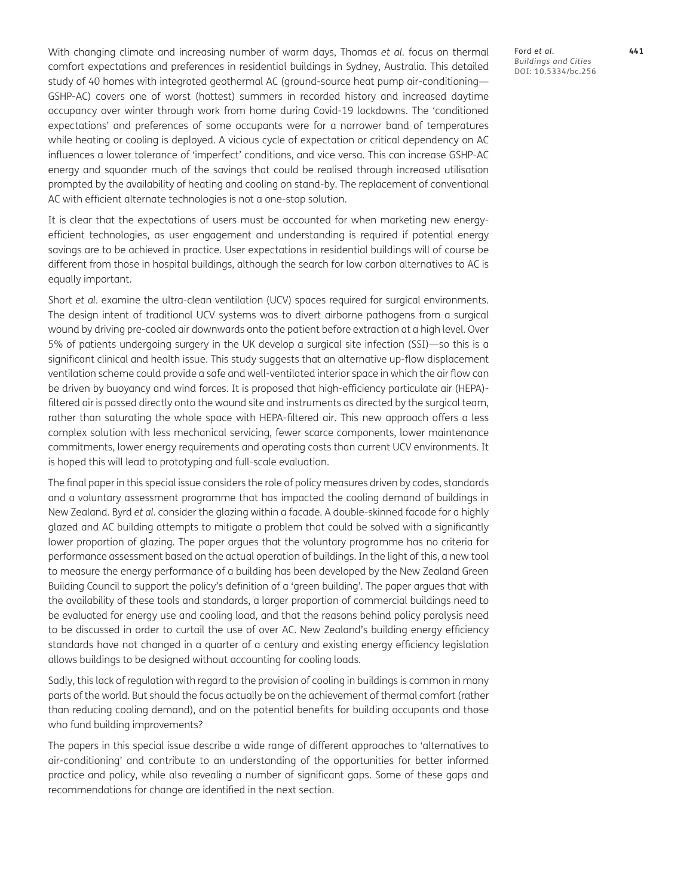With changing climate and increasing number of warm days, Thomas *et al.* focus on thermal comfort expectations and preferences in residential buildings in Sydney, Australia. This detailed study of 40 homes with integrated geothermal AC (ground-source heat pump air-conditioning— GSHP-AC) covers one of worst (hottest) summers in recorded history and increased daytime occupancy over winter through work from home during Covid-19 lockdowns. The 'conditioned expectations' and preferences of some occupants were for a narrower band of temperatures while heating or cooling is deployed. A vicious cycle of expectation or critical dependency on AC influences a lower tolerance of 'imperfect' conditions, and vice versa. This can increase GSHP-AC energy and squander much of the savings that could be realised through increased utilisation prompted by the availability of heating and cooling on stand-by. The replacement of conventional AC with efficient alternate technologies is not a one-stop solution.

It is clear that the expectations of users must be accounted for when marketing new energyefficient technologies, as user engagement and understanding is required if potential energy savings are to be achieved in practice. User expectations in residential buildings will of course be different from those in hospital buildings, although the search for low carbon alternatives to AC is equally important.

Short *et al.* examine the ultra-clean ventilation (UCV) spaces required for surgical environments. The design intent of traditional UCV systems was to divert airborne pathogens from a surgical wound by driving pre-cooled air downwards onto the patient before extraction at a high level. Over 5% of patients undergoing surgery in the UK develop a surgical site infection (SSI)—so this is a significant clinical and health issue. This study suggests that an alternative up-flow displacement ventilation scheme could provide a safe and well-ventilated interior space in which the air flow can be driven by buoyancy and wind forces. It is proposed that high-efficiency particulate air (HEPA) filtered air is passed directly onto the wound site and instruments as directed by the surgical team, rather than saturating the whole space with HEPA-filtered air. This new approach offers a less complex solution with less mechanical servicing, fewer scarce components, lower maintenance commitments, lower energy requirements and operating costs than current UCV environments. It is hoped this will lead to prototyping and full-scale evaluation.

The final paper in this special issue considers the role of policy measures driven by codes, standards and a voluntary assessment programme that has impacted the cooling demand of buildings in New Zealand. Byrd *et al.* consider the glazing within a facade. A double-skinned facade for a highly glazed and AC building attempts to mitigate a problem that could be solved with a significantly lower proportion of glazing. The paper argues that the voluntary programme has no criteria for performance assessment based on the actual operation of buildings. In the light of this, a new tool to measure the energy performance of a building has been developed by the New Zealand Green Building Council to support the policy's definition of a 'green building'. The paper argues that with the availability of these tools and standards, a larger proportion of commercial buildings need to be evaluated for energy use and cooling load, and that the reasons behind policy paralysis need to be discussed in order to curtail the use of over AC. New Zealand's building energy efficiency standards have not changed in a quarter of a century and existing energy efficiency legislation allows buildings to be designed without accounting for cooling loads.

Sadly, this lack of regulation with regard to the provision of cooling in buildings is common in many parts of the world. But should the focus actually be on the achievement of thermal comfort (rather than reducing cooling demand), and on the potential benefits for building occupants and those who fund building improvements?

The papers in this special issue describe a wide range of different approaches to 'alternatives to air-conditioning' and contribute to an understanding of the opportunities for better informed practice and policy, while also revealing a number of significant gaps. Some of these gaps and recommendations for change are identified in the next section.

Ford *et al*. **441** *Buildings and Cities* DOI: 10.5334/bc.256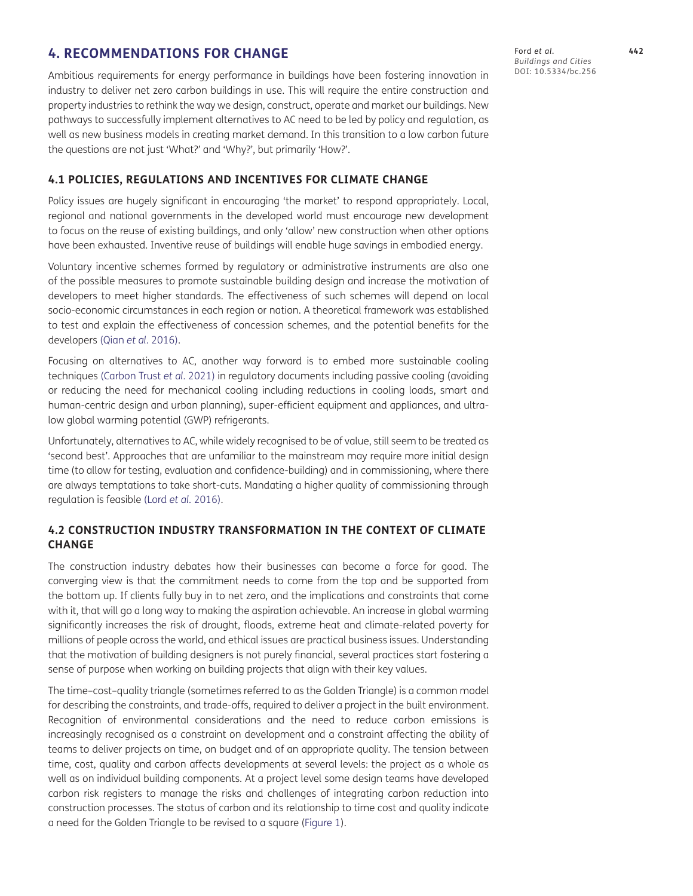# **4. RECOMMENDATIONS FOR CHANGE**

Ambitious requirements for energy performance in buildings have been fostering innovation in industry to deliver net zero carbon buildings in use. This will require the entire construction and property industries to rethink the way we design, construct, operate and market our buildings. New pathways to successfully implement alternatives to AC need to be led by policy and regulation, as well as new business models in creating market demand. In this transition to a low carbon future the questions are not just 'What?' and 'Why?', but primarily 'How?'.

# **4.1 POLICIES, REGULATIONS AND INCENTIVES FOR CLIMATE CHANGE**

Policy issues are hugely significant in encouraging 'the market' to respond appropriately. Local, regional and national governments in the developed world must encourage new development to focus on the reuse of existing buildings, and only 'allow' new construction when other options have been exhausted. Inventive reuse of buildings will enable huge savings in embodied energy.

Voluntary incentive schemes formed by regulatory or administrative instruments are also one of the possible measures to promote sustainable building design and increase the motivation of developers to meet higher standards. The effectiveness of such schemes will depend on local socio-economic circumstances in each region or nation. A theoretical framework was established to test and explain the effectiveness of concession schemes, and the potential benefits for the developers (Qian *et al.* [2016](#page-13-16)).

Focusing on alternatives to AC, another way forward is to embed more sustainable cooling techniques ([Carbon Trust](#page-13-17) *et al.* 2021) in regulatory documents including passive cooling (avoiding or reducing the need for mechanical cooling including reductions in cooling loads, smart and human-centric design and urban planning), super-efficient equipment and appliances, and ultralow global warming potential (GWP) refrigerants.

Unfortunately, alternatives to AC, while widely recognised to be of value, still seem to be treated as 'second best'. Approaches that are unfamiliar to the mainstream may require more initial design time (to allow for testing, evaluation and confidence-building) and in commissioning, where there are always temptations to take short-cuts. Mandating a higher quality of commissioning through regulation is feasible (Lord *et al.* [2016](#page-13-18)).

# **4.2 CONSTRUCTION INDUSTRY TRANSFORMATION IN THE CONTEXT OF CLIMATE CHANGE**

The construction industry debates how their businesses can become a force for good. The converging view is that the commitment needs to come from the top and be supported from the bottom up. If clients fully buy in to net zero, and the implications and constraints that come with it, that will go a long way to making the aspiration achievable. An increase in global warming significantly increases the risk of drought, floods, extreme heat and climate-related poverty for millions of people across the world, and ethical issues are practical business issues. Understanding that the motivation of building designers is not purely financial, several practices start fostering a sense of purpose when working on building projects that align with their key values.

The time–cost–quality triangle (sometimes referred to as the Golden Triangle) is a common model for describing the constraints, and trade-offs, required to deliver a project in the built environment. Recognition of environmental considerations and the need to reduce carbon emissions is increasingly recognised as a constraint on development and a constraint affecting the ability of teams to deliver projects on time, on budget and of an appropriate quality. The tension between time, cost, quality and carbon affects developments at several levels: the project as a whole as well as on individual building components. At a project level some design teams have developed carbon risk registers to manage the risks and challenges of integrating carbon reduction into construction processes. The status of carbon and its relationship to time cost and quality indicate a need for the Golden Triangle to be revised to a square [\(Figure 1](#page-10-0)).

Ford *et al*. **442** *Buildings and Cities* DOI: 10.5334/bc.256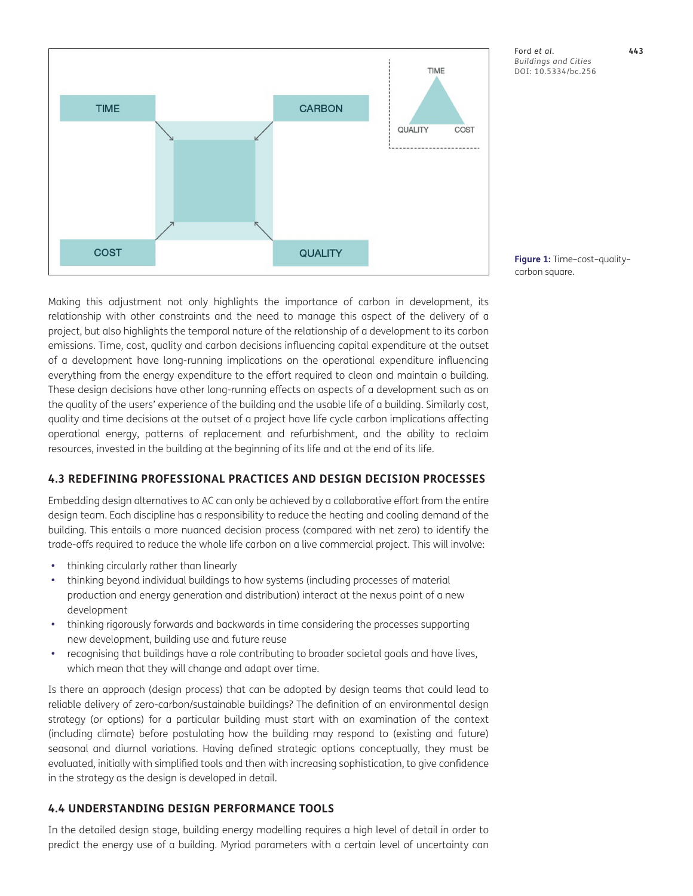

Ford *et al*. **443** *Buildings and Cities* DOI: 10.5334/bc.256

<span id="page-10-0"></span>**Figure 1:** Time–cost–quality– carbon square.

Making this adjustment not only highlights the importance of carbon in development, its relationship with other constraints and the need to manage this aspect of the delivery of a project, but also highlights the temporal nature of the relationship of a development to its carbon emissions. Time, cost, quality and carbon decisions influencing capital expenditure at the outset of a development have long-running implications on the operational expenditure influencing everything from the energy expenditure to the effort required to clean and maintain a building. These design decisions have other long-running effects on aspects of a development such as on the quality of the users' experience of the building and the usable life of a building. Similarly cost, quality and time decisions at the outset of a project have life cycle carbon implications affecting operational energy, patterns of replacement and refurbishment, and the ability to reclaim resources, invested in the building at the beginning of its life and at the end of its life.

# **4.3 REDEFINING PROFESSIONAL PRACTICES AND DESIGN DECISION PROCESSES**

Embedding design alternatives to AC can only be achieved by a collaborative effort from the entire design team. Each discipline has a responsibility to reduce the heating and cooling demand of the building. This entails a more nuanced decision process (compared with net zero) to identify the trade-offs required to reduce the whole life carbon on a live commercial project. This will involve:

- **•**  thinking circularly rather than linearly
- **•**  thinking beyond individual buildings to how systems (including processes of material production and energy generation and distribution) interact at the nexus point of a new development
- **•**  thinking rigorously forwards and backwards in time considering the processes supporting new development, building use and future reuse
- recognising that buildings have a role contributing to broader societal goals and have lives, which mean that they will change and adapt over time.

Is there an approach (design process) that can be adopted by design teams that could lead to reliable delivery of zero-carbon/sustainable buildings? The definition of an environmental design strategy (or options) for a particular building must start with an examination of the context (including climate) before postulating how the building may respond to (existing and future) seasonal and diurnal variations. Having defined strategic options conceptually, they must be evaluated, initially with simplified tools and then with increasing sophistication, to give confidence in the strategy as the design is developed in detail.

# **4.4 UNDERSTANDING DESIGN PERFORMANCE TOOLS**

In the detailed design stage, building energy modelling requires a high level of detail in order to predict the energy use of a building. Myriad parameters with a certain level of uncertainty can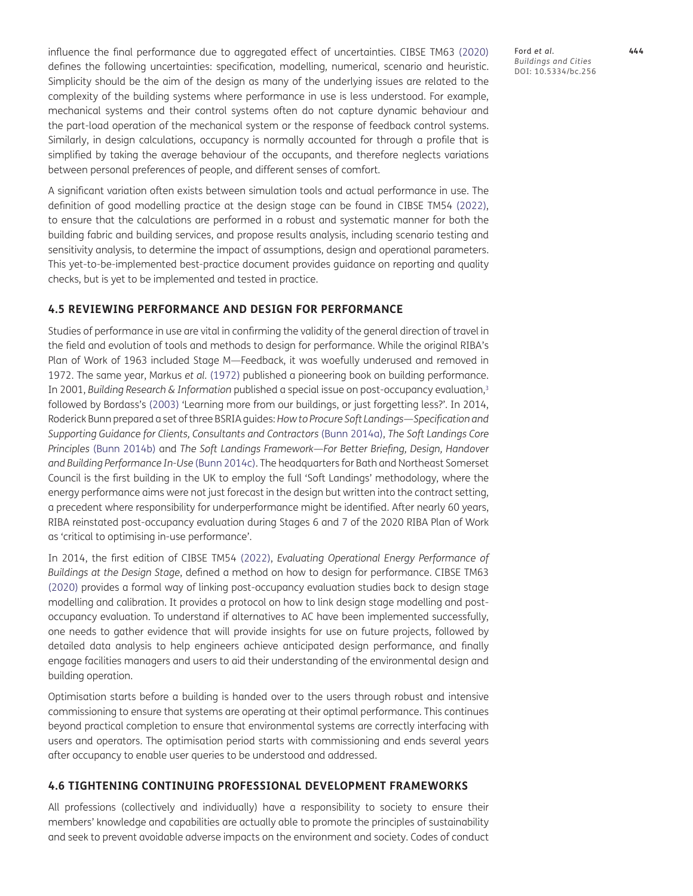influence the final performance due to aggregated effect of uncertainties. CIBSE TM63 [\(2020](#page-13-19)) defines the following uncertainties: specification, modelling, numerical, scenario and heuristic. Simplicity should be the aim of the design as many of the underlying issues are related to the complexity of the building systems where performance in use is less understood. For example, mechanical systems and their control systems often do not capture dynamic behaviour and the part-load operation of the mechanical system or the response of feedback control systems. Similarly, in design calculations, occupancy is normally accounted for through a profile that is simplified by taking the average behaviour of the occupants, and therefore neglects variations between personal preferences of people, and different senses of comfort.

A significant variation often exists between simulation tools and actual performance in use. The definition of good modelling practice at the design stage can be found in CIBSE TM54 [\(2022\)](#page-13-20), to ensure that the calculations are performed in a robust and systematic manner for both the building fabric and building services, and propose results analysis, including scenario testing and sensitivity analysis, to determine the impact of assumptions, design and operational parameters. This yet-to-be-implemented best-practice document provides guidance on reporting and quality checks, but is yet to be implemented and tested in practice.

#### **4.5 REVIEWING PERFORMANCE AND DESIGN FOR PERFORMANCE**

Studies of performance in use are vital in confirming the validity of the general direction of travel in the field and evolution of tools and methods to design for performance. While the original RIBA's Plan of Work of 1963 included Stage M—Feedback, it was woefully underused and removed in 1972. The same year, Markus *et al.* ([1972](#page-13-21)) published a pioneering book on building performance. In 2001, *Building Research & Information* published a special issue on post-occupancy evaluation,<sup>3</sup> followed by Bordass's ([2003](#page-12-5)) 'Learning more from our buildings, or just forgetting less?'. In 2014, Roderick Bunn prepared a set of three BSRIA guides: *How to Procure Soft Landings—Specification and Supporting Guidance for Clients, Consultants and Contractors* ([Bunn 2014a\)](#page-12-6), *The Soft Landings Core Principles* [\(Bunn 2014b\)](#page-12-7) and *The Soft Landings Framework—For Better Briefing, Design, Handover and Building Performance In-Use* [\(Bunn 2014c\)](#page-13-22). The headquarters for Bath and Northeast Somerset Council is the first building in the UK to employ the full 'Soft Landings' methodology, where the energy performance aims were not just forecast in the design but written into the contract setting, a precedent where responsibility for underperformance might be identified. After nearly 60 years, RIBA reinstated post-occupancy evaluation during Stages 6 and 7 of the 2020 RIBA Plan of Work as 'critical to optimising in-use performance'.

In 2014, the first edition of CIBSE TM54 ([2022](#page-13-20)), *Evaluating Operational Energy Performance of Buildings at the Design Stage*, defined a method on how to design for performance. CIBSE TM63 [\(2020](#page-13-19)) provides a formal way of linking post-occupancy evaluation studies back to design stage modelling and calibration. It provides a protocol on how to link design stage modelling and postoccupancy evaluation. To understand if alternatives to AC have been implemented successfully, one needs to gather evidence that will provide insights for use on future projects, followed by detailed data analysis to help engineers achieve anticipated design performance, and finally engage facilities managers and users to aid their understanding of the environmental design and building operation.

Optimisation starts before a building is handed over to the users through robust and intensive commissioning to ensure that systems are operating at their optimal performance. This continues beyond practical completion to ensure that environmental systems are correctly interfacing with users and operators. The optimisation period starts with commissioning and ends several years after occupancy to enable user queries to be understood and addressed.

#### **4.6 TIGHTENING CONTINUING PROFESSIONAL DEVELOPMENT FRAMEWORKS**

All professions (collectively and individually) have a responsibility to society to ensure their members' knowledge and capabilities are actually able to promote the principles of sustainability and seek to prevent avoidable adverse impacts on the environment and society. Codes of conduct

Ford *et al*. **444** *Buildings and Cities* DOI: 10.5334/bc.256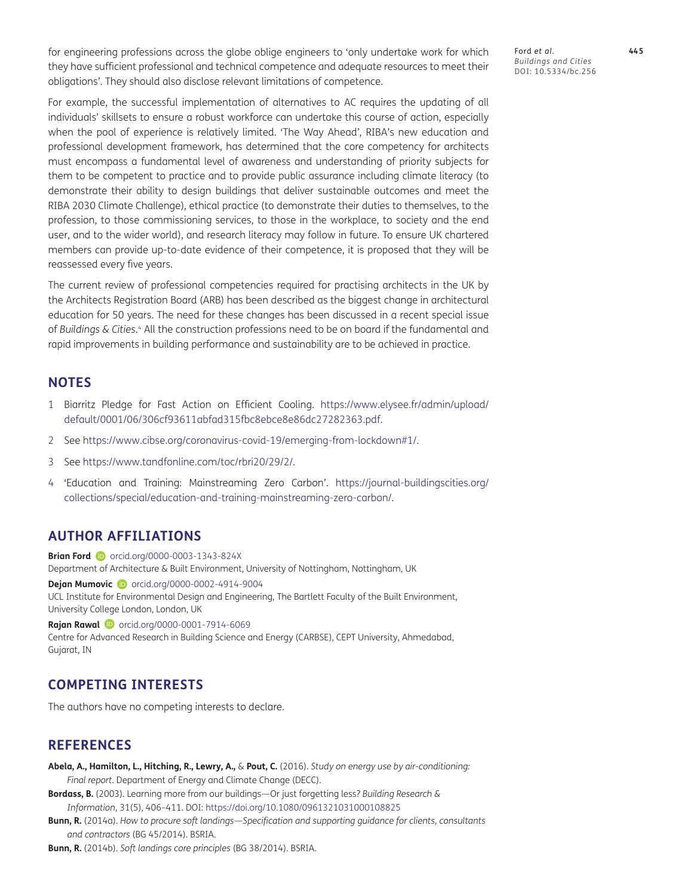for engineering professions across the globe oblige engineers to 'only undertake work for which they have sufficient professional and technical competence and adequate resources to meet their obligations'. They should also disclose relevant limitations of competence.

Ford *et al*. **445** *Buildings and Cities* DOI: 10.5334/bc.256

For example, the successful implementation of alternatives to AC requires the updating of all individuals' skillsets to ensure a robust workforce can undertake this course of action, especially when the pool of experience is relatively limited. 'The Way Ahead', RIBA's new education and professional development framework, has determined that the core competency for architects must encompass a fundamental level of awareness and understanding of priority subjects for them to be competent to practice and to provide public assurance including climate literacy (to demonstrate their ability to design buildings that deliver sustainable outcomes and meet the RIBA 2030 Climate Challenge), ethical practice (to demonstrate their duties to themselves, to the profession, to those commissioning services, to those in the workplace, to society and the end user, and to the wider world), and research literacy may follow in future. To ensure UK chartered members can provide up-to-date evidence of their competence, it is proposed that they will be reassessed every five years.

The current review of professional competencies required for practising architects in the UK by the Architects Registration Board (ARB) has been described as the biggest change in architectural education for 50 years. The need for these changes has been discussed in a recent special issue of *Buildings & Cities*. [4](#page-12-8) All the construction professions need to be on board if the fundamental and rapid improvements in building performance and sustainability are to be achieved in practice.

# **NOTES**

- <span id="page-12-1"></span>1 Biarritz Pledge for Fast Action on Efficient Cooling. [https://www.elysee.fr/admin/upload/](https://www.elysee.fr/admin/upload/default/0001/06/306cf93611abfad315fbc8ebce8e86dc27282363.pdf) [default/0001/06/306cf93611abfad315fbc8ebce8e86dc27282363.pdf](https://www.elysee.fr/admin/upload/default/0001/06/306cf93611abfad315fbc8ebce8e86dc27282363.pdf).
- <span id="page-12-2"></span>2 See<https://www.cibse.org/coronavirus-covid-19/emerging-from-lockdown#1/>.
- <span id="page-12-4"></span>3 See [https://www.tandfonline.com/toc/rbri20/29/2/.](https://www.tandfonline.com/toc/rbri20/29/2/)
- <span id="page-12-8"></span>4 'Education and Training: Mainstreaming Zero Carbon'. [https://journal-buildingscities.org/](https://journal-buildingscities.org/collections/special/education-and-training-mainstreaming-zero-carbon/) [collections/special/education-and-training-mainstreaming-zero-carbon/](https://journal-buildingscities.org/collections/special/education-and-training-mainstreaming-zero-carbon/).

# <span id="page-12-0"></span>**AUTHOR AFFILIATIONS**

**Brian Ford D** [orcid.org/0000-0003-1343-824X](http://orcid.org/0000-0003-1343-824X) Department of Architecture & Built Environment, University of Nottingham, Nottingham, UK

**Dejan Mumovic D** [orcid.org/0000-0002-4914-9004](http://orcid.org/0000-0002-4914-9004) UCL Institute for Environmental Design and Engineering, The Bartlett Faculty of the Built Environment, University College London, London, UK

**Rajan Rawal D** [orcid.org/0000-0001-7914-6069](http://orcid.org/0000-0001-7914-6069) Centre for Advanced Research in Building Science and Energy (CARBSE), CEPT University, Ahmedabad, Gujarat, IN

# **COMPETING INTERESTS**

The authors have no competing interests to declare.

# **REFERENCES**

- <span id="page-12-3"></span>**Abela, A., Hamilton, L., Hitching, R., Lewry, A.,** & **Pout, C.** (2016). *Study on energy use by air-conditioning: Final report*. Department of Energy and Climate Change (DECC).
- <span id="page-12-5"></span>**Bordass, B.** (2003). Learning more from our buildings—Or just forgetting less? *Building Research & Information*, 31(5), 406–411. DOI: <https://doi.org/10.1080/0961321031000108825>
- <span id="page-12-6"></span>**Bunn, R.** (2014a). *How to procure soft landings—Specification and supporting guidance for clients, consultants and contractors* (BG 45/2014). BSRIA.

<span id="page-12-7"></span>**Bunn, R.** (2014b). *Soft landings core principles* (BG 38/2014). BSRIA.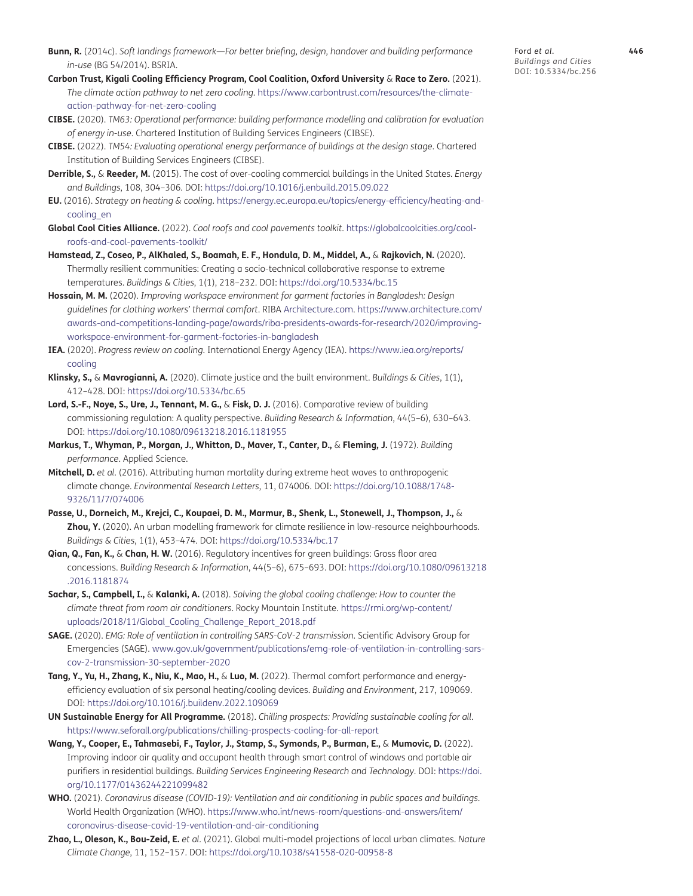- <span id="page-13-22"></span>**Bunn, R.** (2014c). *Soft landings framework—For better briefing, design, handover and building performance in-use* (BG 54/2014). BSRIA.
- <span id="page-13-17"></span>**Carbon Trust, Kigali Cooling Efficiency Program, Cool Coalition, Oxford University** & **Race to Zero.** (2021). *The climate action pathway to net zero cooling*. [https://www.carbontrust.com/resources/the-climate](https://www.carbontrust.com/resources/the-climate-action-pathway-for-net-zero-cooling)[action-pathway-for-net-zero-cooling](https://www.carbontrust.com/resources/the-climate-action-pathway-for-net-zero-cooling)
- <span id="page-13-19"></span>**CIBSE.** (2020). *TM63: Operational performance: building performance modelling and calibration for evaluation of energy in-use*. Chartered Institution of Building Services Engineers (CIBSE).
- <span id="page-13-20"></span>**CIBSE.** (2022). *TM54: Evaluating operational energy performance of buildings at the design stage*. Chartered Institution of Building Services Engineers (CIBSE).
- <span id="page-13-14"></span>**Derrible, S.,** & **Reeder, M.** (2015). The cost of over-cooling commercial buildings in the United States. *Energy and Buildings*, 108, 304–306. DOI:<https://doi.org/10.1016/j.enbuild.2015.09.022>
- <span id="page-13-1"></span>**EU.** (2016). *Strategy on heating & cooling*. [https://energy.ec.europa.eu/topics/energy-efficiency/heating-and](https://energy.ec.europa.eu/topics/energy-efficiency/heating-and-cooling_en)[cooling\\_en](https://energy.ec.europa.eu/topics/energy-efficiency/heating-and-cooling_en)
- <span id="page-13-11"></span>**Global Cool Cities Alliance.** (2022). *Cool roofs and cool pavements toolkit*. [https://globalcoolcities.org/cool](https://globalcoolcities.org/cool-roofs-and-cool-pavements-toolkit/)[roofs-and-cool-pavements-toolkit/](https://globalcoolcities.org/cool-roofs-and-cool-pavements-toolkit/)
- <span id="page-13-9"></span>**Hamstead, Z., Coseo, P., AlKhaled, S., Boamah, E. F., Hondula, D. M., Middel, A.,** & **Rajkovich, N.** (2020). Thermally resilient communities: Creating a socio-technical collaborative response to extreme temperatures. *Buildings & Cities*, 1(1), 218–232. DOI: <https://doi.org/10.5334/bc.15>
- <span id="page-13-7"></span>**Hossain, M. M.** (2020). *Improving workspace environment for garment factories in Bangladesh: Design guidelines for clothing workers' thermal comfort*. RIBA [Architecture.com](http://Architecture.com). [https://www.architecture.com/](https://www.architecture.com/awards-and-competitions-landing-page/awards/riba-presidents-awards-for-research/2020/improving-workspace-environment-for-garment-factories-in-bangladesh) [awards-and-competitions-landing-page/awards/riba-presidents-awards-for-research/2020/improving](https://www.architecture.com/awards-and-competitions-landing-page/awards/riba-presidents-awards-for-research/2020/improving-workspace-environment-for-garment-factories-in-bangladesh)[workspace-environment-for-garment-factories-in-bangladesh](https://www.architecture.com/awards-and-competitions-landing-page/awards/riba-presidents-awards-for-research/2020/improving-workspace-environment-for-garment-factories-in-bangladesh)
- <span id="page-13-0"></span>**IEA.** (2020). *Progress review on cooling*. International Energy Agency (IEA). [https://www.iea.org/reports/](https://www.iea.org/reports/cooling) [cooling](https://www.iea.org/reports/cooling)
- <span id="page-13-8"></span>**Klinsky, S.,** & **Mavrogianni, A.** (2020). Climate justice and the built environment. *Buildings & Cities*, 1(1), 412–428. DOI: <https://doi.org/10.5334/bc.65>
- <span id="page-13-18"></span>**Lord, S.-F., Noye, S., Ure, J., Tennant, M. G.,** & **Fisk, D. J.** (2016). Comparative review of building commissioning regulation: A quality perspective. *Building Research & Information*, 44(5–6), 630–643. DOI:<https://doi.org/10.1080/09613218.2016.1181955>
- <span id="page-13-21"></span>**Markus, T., Whyman, P., Morgan, J., Whitton, D., Maver, T., Canter, D.,** & **Fleming, J.** (1972). *Building performance*. Applied Science.
- <span id="page-13-2"></span>**Mitchell, D.** *et al.* (2016). Attributing human mortality during extreme heat waves to anthropogenic climate change. *Environmental Research Letters*, 11, 074006. DOI: [https://doi.org/10.1088/1748-](https://doi.org/10.1088/1748-9326/11/7/074006) [9326/11/7/074006](https://doi.org/10.1088/1748-9326/11/7/074006)
- <span id="page-13-10"></span>**Passe, U., Dorneich, M., Krejci, C., Koupaei, D. M., Marmur, B., Shenk, L., Stonewell, J., Thompson, J.,** & **Zhou, Y.** (2020). An urban modelling framework for climate resilience in low-resource neighbourhoods. *Buildings & Cities*, 1(1), 453–474. DOI:<https://doi.org/10.5334/bc.17>
- <span id="page-13-16"></span>**Qian, Q., Fan, K.,** & **Chan, H. W.** (2016). Regulatory incentives for green buildings: Gross floor area concessions. *Building Research & Information*, 44(5–6), 675–693. DOI: [https://doi.org/10.1080/09613218](https://doi.org/10.1080/09613218.2016.1181874) [.2016.1181874](https://doi.org/10.1080/09613218.2016.1181874)
- <span id="page-13-13"></span>**Sachar, S., Campbell, I.,** & **Kalanki, A.** (2018). *Solving the global cooling challenge: How to counter the climate threat from room air conditioners*. Rocky Mountain Institute. [https://rmi.org/wp-content/](https://rmi.org/wp-content/uploads/2018/11/Global_Cooling_Challenge_Report_2018.pdf) [uploads/2018/11/Global\\_Cooling\\_Challenge\\_Report\\_2018.pdf](https://rmi.org/wp-content/uploads/2018/11/Global_Cooling_Challenge_Report_2018.pdf)
- <span id="page-13-5"></span>**SAGE.** (2020). *EMG: Role of ventilation in controlling SARS-CoV-2 transmission*. Scientific Advisory Group for Emergencies (SAGE). [www.gov.uk/government/publications/emg-role-of-ventilation-in-controlling-sars](http://www.gov.uk/government/publications/emg-role-of-ventilation-in-controlling-sars-cov-2-transmission-30-september-2020)[cov-2-transmission-30-september-2020](http://www.gov.uk/government/publications/emg-role-of-ventilation-in-controlling-sars-cov-2-transmission-30-september-2020)
- <span id="page-13-15"></span>**Tang, Y., Yu, H., Zhang, K., Niu, K., Mao, H.,** & **Luo, M.** (2022). Thermal comfort performance and energyefficiency evaluation of six personal heating/cooling devices. *Building and Environment*, 217, 109069. DOI:<https://doi.org/10.1016/j.buildenv.2022.109069>
- <span id="page-13-12"></span>**UN Sustainable Energy for All Programme.** (2018). *Chilling prospects: Providing sustainable cooling for all*. <https://www.seforall.org/publications/chilling-prospects-cooling-for-all-report>
- <span id="page-13-3"></span>**Wang, Y., Cooper, E., Tahmasebi, F., Taylor, J., Stamp, S., Symonds, P., Burman, E.,** & **Mumovic, D.** (2022). Improving indoor air quality and occupant health through smart control of windows and portable air purifiers in residential buildings. *Building Services Engineering Research and Technology*. DOI: [https://doi.](https://doi.org/10.1177/01436244221099482) [org/10.1177/01436244221099482](https://doi.org/10.1177/01436244221099482)
- <span id="page-13-4"></span>**WHO.** (2021). *Coronavirus disease (COVID-19): Ventilation and air conditioning in public spaces and buildings*. World Health Organization (WHO). [https://www.who.int/news-room/questions-and-answers/item/](https://www.who.int/news-room/questions-and-answers/item/coronavirus-disease-covid-19-ventilation-and-air-conditioning) [coronavirus-disease-covid-19-ventilation-and-air-conditioning](https://www.who.int/news-room/questions-and-answers/item/coronavirus-disease-covid-19-ventilation-and-air-conditioning)
- <span id="page-13-6"></span>**Zhao, L., Oleson, K., Bou-Zeid, E.** *et al.* (2021). Global multi-model projections of local urban climates. *Nature Climate Change*, 11, 152–157. DOI: <https://doi.org/10.1038/s41558-020-00958-8>

Ford *et al*. **446** *Buildings and Cities* DOI: 10.5334/bc.256